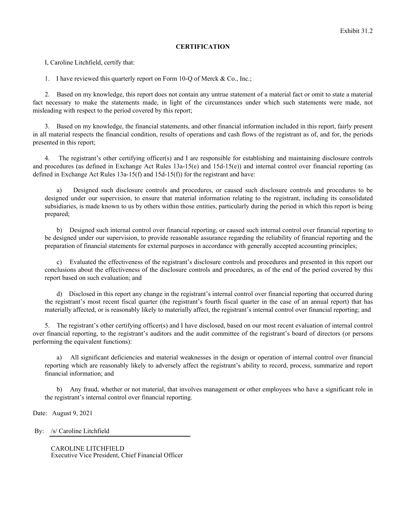## **CERTIFICATION**

I, Caroline Litchfield, certify that:

1. I have reviewed this quarterly report on Form 10-Q of Merck & Co., Inc.;

2. Based on my knowledge, this report does not contain any untrue statement of a material fact or omit to state a material fact necessary to make the statements made, in light of the circumstances under which such statements were made, not misleading with respect to the period covered by this report;

3. Based on my knowledge, the financial statements, and other financial information included in this report, fairly present in all material respects the financial condition, results of operations and cash flows of the registrant as of, and for, the periods presented in this report;

4. The registrant's other certifying officer(s) and I are responsible for establishing and maintaining disclosure controls and procedures (as defined in Exchange Act Rules  $13a-15(e)$  and  $15d-15(e)$ ) and internal control over financial reporting (as defined in Exchange Act Rules 13a-15(f) and 15d-15(f)) for the registrant and have:

a) Designed such disclosure controls and procedures, or caused such disclosure controls and procedures to be designed under our supervision, to ensure that material information relating to the registrant, including its consolidated subsidiaries, is made known to us by others within those entities, particularly during the period in which this report is being prepared;

b) Designed such internal control over financial reporting, or caused such internal control over financial reporting to be designed under our supervision, to provide reasonable assurance regarding the reliability of financial reporting and the preparation of financial statements for external purposes in accordance with generally accepted accounting principles;

c) Evaluated the effectiveness of the registrant's disclosure controls and procedures and presented in this report our conclusions about the effectiveness of the disclosure controls and procedures, as of the end of the period covered by this report based on such evaluation; and

d) Disclosed in this report any change in the registrant's internal control over financial reporting that occurred during the registrant's most recent fiscal quarter (the registrant's fourth fiscal quarter in the case of an annual report) that has materially affected, or is reasonably likely to materially affect, the registrant's internal control over financial reporting; and

5. The registrant's other certifying officer(s) and I have disclosed, based on our most recent evaluation of internal control over financial reporting, to the registrant's auditors and the audit committee of the registrant's board of directors (or persons performing the equivalent functions):

a) All significant deficiencies and material weaknesses in the design or operation of internal control over financial reporting which are reasonably likely to adversely affect the registrant's ability to record, process, summarize and report financial information; and

b) Any fraud, whether or not material, that involves management or other employees who have a significant role in the registrant's internal control over financial reporting.

Date: August 9, 2021

By: /s/ Caroline Litchfield

CAROLINE LITCHFIELD Executive Vice President, Chief Financial Officer